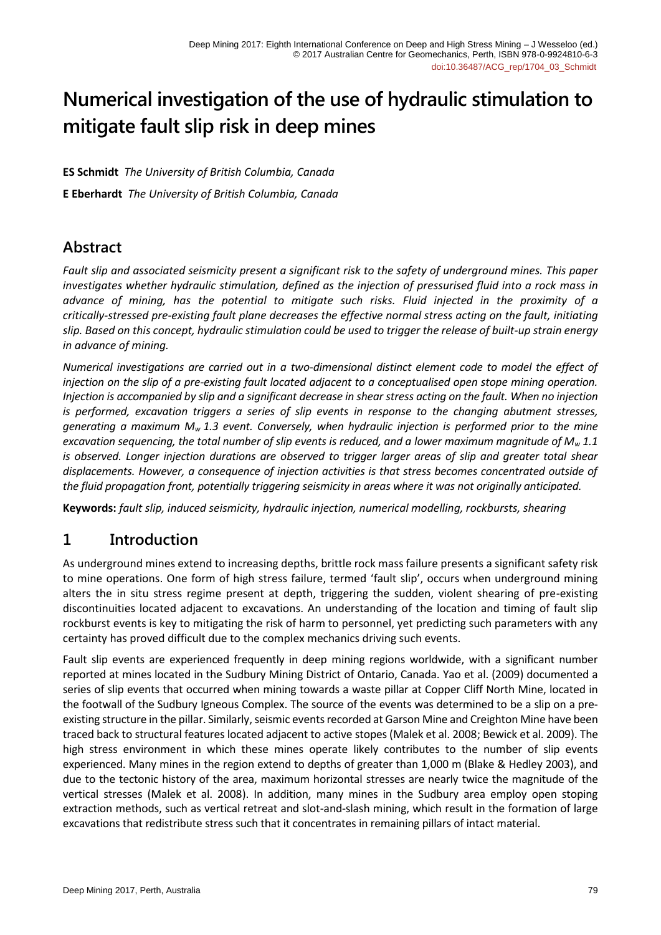# **Numerical investigation of the use of hydraulic stimulation to mitigate fault slip risk in deep mines**

**ES Schmidt** *The University of British Columbia, Canada* **E Eberhardt** *The University of British Columbia, Canada*

# **Abstract**

*Fault slip and associated seismicity present a significant risk to the safety of underground mines. This paper investigates whether hydraulic stimulation, defined as the injection of pressurised fluid into a rock mass in advance of mining, has the potential to mitigate such risks. Fluid injected in the proximity of a critically-stressed pre-existing fault plane decreases the effective normal stress acting on the fault, initiating slip. Based on this concept, hydraulic stimulation could be used to trigger the release of built-up strain energy in advance of mining.*

*Numerical investigations are carried out in a two-dimensional distinct element code to model the effect of injection on the slip of a pre-existing fault located adjacent to a conceptualised open stope mining operation. Injection is accompanied by slip and a significant decrease in shear stress acting on the fault. When no injection is performed, excavation triggers a series of slip events in response to the changing abutment stresses, generating a maximum M<sup>w</sup> 1.3 event. Conversely, when hydraulic injection is performed prior to the mine excavation sequencing, the total number of slip events is reduced, and a lower maximum magnitude of M<sup>w</sup> 1.1 is observed. Longer injection durations are observed to trigger larger areas of slip and greater total shear displacements. However, a consequence of injection activities is that stress becomes concentrated outside of the fluid propagation front, potentially triggering seismicity in areas where it was not originally anticipated.*

**Keywords:** *fault slip, induced seismicity, hydraulic injection, numerical modelling, rockbursts, shearing*

# **1 Introduction**

As underground mines extend to increasing depths, brittle rock mass failure presents a significant safety risk to mine operations. One form of high stress failure, termed 'fault slip', occurs when underground mining alters the in situ stress regime present at depth, triggering the sudden, violent shearing of pre-existing discontinuities located adjacent to excavations. An understanding of the location and timing of fault slip rockburst events is key to mitigating the risk of harm to personnel, yet predicting such parameters with any certainty has proved difficult due to the complex mechanics driving such events.

Fault slip events are experienced frequently in deep mining regions worldwide, with a significant number reported at mines located in the Sudbury Mining District of Ontario, Canada. Yao et al. (2009) documented a series of slip events that occurred when mining towards a waste pillar at Copper Cliff North Mine, located in the footwall of the Sudbury Igneous Complex. The source of the events was determined to be a slip on a preexisting structure in the pillar. Similarly, seismic events recorded at Garson Mine and Creighton Mine have been traced back to structural features located adjacent to active stopes (Malek et al. 2008; Bewick et al. 2009). The high stress environment in which these mines operate likely contributes to the number of slip events experienced. Many mines in the region extend to depths of greater than 1,000 m (Blake & Hedley 2003), and due to the tectonic history of the area, maximum horizontal stresses are nearly twice the magnitude of the vertical stresses (Malek et al. 2008). In addition, many mines in the Sudbury area employ open stoping extraction methods, such as vertical retreat and slot-and-slash mining, which result in the formation of large excavations that redistribute stress such that it concentrates in remaining pillars of intact material.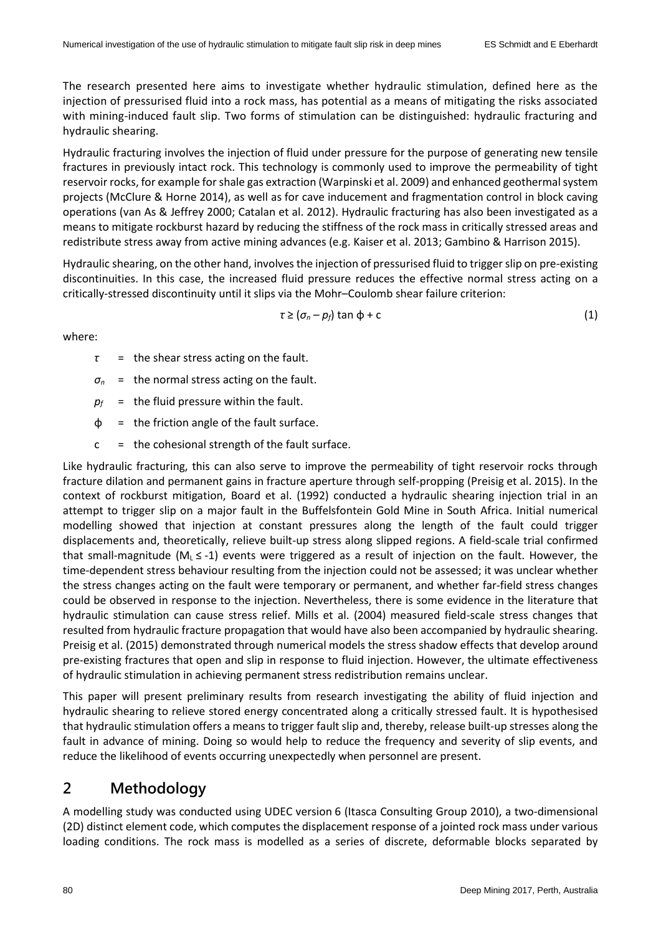The research presented here aims to investigate whether hydraulic stimulation, defined here as the injection of pressurised fluid into a rock mass, has potential as a means of mitigating the risks associated with mining-induced fault slip. Two forms of stimulation can be distinguished: hydraulic fracturing and hydraulic shearing.

Hydraulic fracturing involves the injection of fluid under pressure for the purpose of generating new tensile fractures in previously intact rock. This technology is commonly used to improve the permeability of tight reservoir rocks, for example for shale gas extraction (Warpinski et al. 2009) and enhanced geothermal system projects (McClure & Horne 2014), as well as for cave inducement and fragmentation control in block caving operations (van As & Jeffrey 2000; Catalan et al. 2012). Hydraulic fracturing has also been investigated as a means to mitigate rockburst hazard by reducing the stiffness of the rock mass in critically stressed areas and redistribute stress away from active mining advances (e.g. Kaiser et al. 2013; Gambino & Harrison 2015).

Hydraulic shearing, on the other hand, involves the injection of pressurised fluid to trigger slip on pre-existing discontinuities. In this case, the increased fluid pressure reduces the effective normal stress acting on a critically-stressed discontinuity until it slips via the Mohr–Coulomb shear failure criterion:

$$
\tau \geq (\sigma_n - \rho_f) \tan \phi + c \tag{1}
$$

where:

- *τ* = the shear stress acting on the fault.
- *σ<sup>n</sup>* = the normal stress acting on the fault.
- $p_f$  = the fluid pressure within the fault.
- $\phi$  = the friction angle of the fault surface.
- $c =$  the cohesional strength of the fault surface.

Like hydraulic fracturing, this can also serve to improve the permeability of tight reservoir rocks through fracture dilation and permanent gains in fracture aperture through self-propping (Preisig et al. 2015). In the context of rockburst mitigation, Board et al. (1992) conducted a hydraulic shearing injection trial in an attempt to trigger slip on a major fault in the Buffelsfontein Gold Mine in South Africa. Initial numerical modelling showed that injection at constant pressures along the length of the fault could trigger displacements and, theoretically, relieve built-up stress along slipped regions. A field-scale trial confirmed that small-magnitude ( $M_L \le -1$ ) events were triggered as a result of injection on the fault. However, the time-dependent stress behaviour resulting from the injection could not be assessed; it was unclear whether the stress changes acting on the fault were temporary or permanent, and whether far-field stress changes could be observed in response to the injection. Nevertheless, there is some evidence in the literature that hydraulic stimulation can cause stress relief. Mills et al. (2004) measured field-scale stress changes that resulted from hydraulic fracture propagation that would have also been accompanied by hydraulic shearing. Preisig et al. (2015) demonstrated through numerical models the stress shadow effects that develop around pre-existing fractures that open and slip in response to fluid injection. However, the ultimate effectiveness of hydraulic stimulation in achieving permanent stress redistribution remains unclear.

This paper will present preliminary results from research investigating the ability of fluid injection and hydraulic shearing to relieve stored energy concentrated along a critically stressed fault. It is hypothesised that hydraulic stimulation offers a means to trigger fault slip and, thereby, release built-up stresses along the fault in advance of mining. Doing so would help to reduce the frequency and severity of slip events, and reduce the likelihood of events occurring unexpectedly when personnel are present.

## **2 Methodology**

A modelling study was conducted using UDEC version 6 (Itasca Consulting Group 2010), a two-dimensional (2D) distinct element code, which computes the displacement response of a jointed rock mass under various loading conditions. The rock mass is modelled as a series of discrete, deformable blocks separated by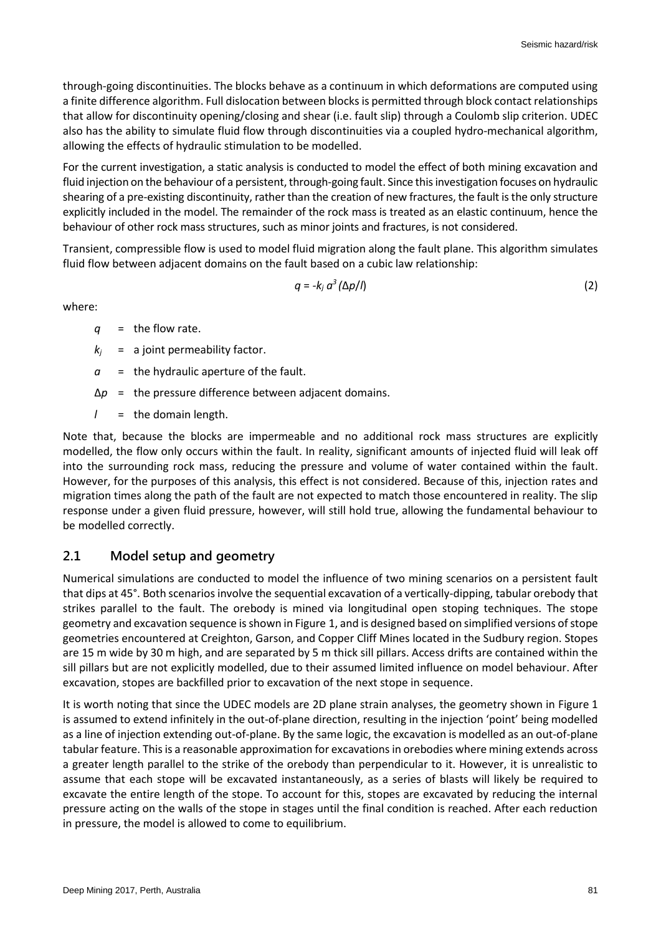through-going discontinuities. The blocks behave as a continuum in which deformations are computed using a finite difference algorithm. Full dislocation between blocks is permitted through block contact relationships that allow for discontinuity opening/closing and shear (i.e. fault slip) through a Coulomb slip criterion. UDEC also has the ability to simulate fluid flow through discontinuities via a coupled hydro-mechanical algorithm, allowing the effects of hydraulic stimulation to be modelled.

For the current investigation, a static analysis is conducted to model the effect of both mining excavation and fluid injection on the behaviour of a persistent, through-going fault. Since this investigation focuses on hydraulic shearing of a pre-existing discontinuity, rather than the creation of new fractures, the fault is the only structure explicitly included in the model. The remainder of the rock mass is treated as an elastic continuum, hence the behaviour of other rock mass structures, such as minor joints and fractures, is not considered.

Transient, compressible flow is used to model fluid migration along the fault plane. This algorithm simulates fluid flow between adjacent domains on the fault based on a cubic law relationship:

$$
q = -k_j \, a^3 \, (\Delta p / l) \tag{2}
$$

where:

- *q* = the flow rate.
- $k_i$  = a joint permeability factor.
- *a* = the hydraulic aperture of the fault.
- Δ*p* = the pressure difference between adjacent domains.
- *l* = the domain length.

Note that, because the blocks are impermeable and no additional rock mass structures are explicitly modelled, the flow only occurs within the fault. In reality, significant amounts of injected fluid will leak off into the surrounding rock mass, reducing the pressure and volume of water contained within the fault. However, for the purposes of this analysis, this effect is not considered. Because of this, injection rates and migration times along the path of the fault are not expected to match those encountered in reality. The slip response under a given fluid pressure, however, will still hold true, allowing the fundamental behaviour to be modelled correctly.

#### **2.1 Model setup and geometry**

Numerical simulations are conducted to model the influence of two mining scenarios on a persistent fault that dips at 45°. Both scenarios involve the sequential excavation of a vertically-dipping, tabular orebody that strikes parallel to the fault. The orebody is mined via longitudinal open stoping techniques. The stope geometry and excavation sequence is shown in Figure 1, and is designed based on simplified versions ofstope geometries encountered at Creighton, Garson, and Copper Cliff Mines located in the Sudbury region. Stopes are 15 m wide by 30 m high, and are separated by 5 m thick sill pillars. Access drifts are contained within the sill pillars but are not explicitly modelled, due to their assumed limited influence on model behaviour. After excavation, stopes are backfilled prior to excavation of the next stope in sequence.

It is worth noting that since the UDEC models are 2D plane strain analyses, the geometry shown in Figure 1 is assumed to extend infinitely in the out-of-plane direction, resulting in the injection 'point' being modelled as a line of injection extending out-of-plane. By the same logic, the excavation is modelled as an out-of-plane tabular feature. This is a reasonable approximation for excavations in orebodies where mining extends across a greater length parallel to the strike of the orebody than perpendicular to it. However, it is unrealistic to assume that each stope will be excavated instantaneously, as a series of blasts will likely be required to excavate the entire length of the stope. To account for this, stopes are excavated by reducing the internal pressure acting on the walls of the stope in stages until the final condition is reached. After each reduction in pressure, the model is allowed to come to equilibrium.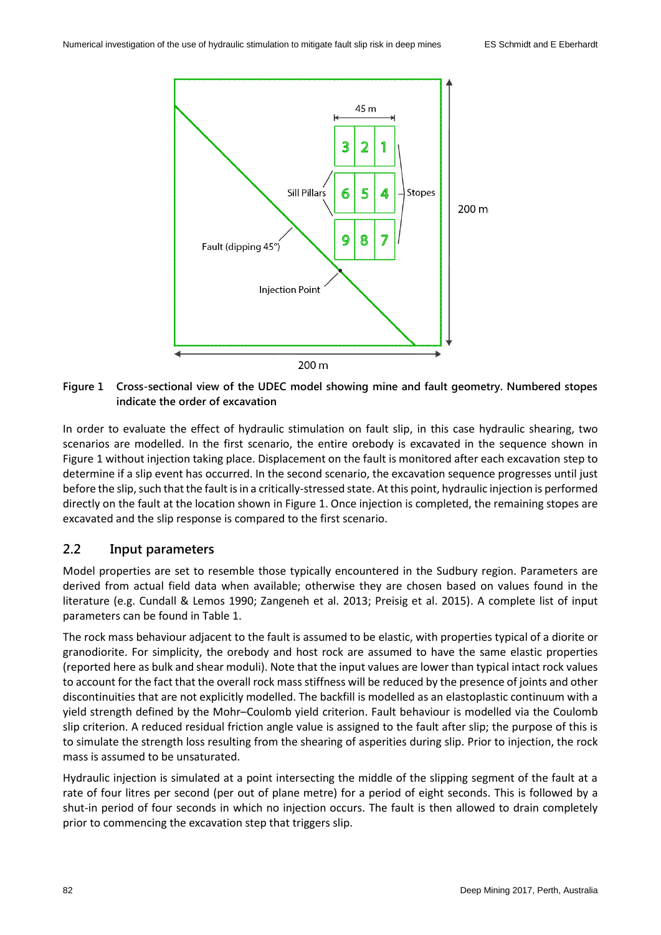

**Figure 1 Cross-sectional view of the UDEC model showing mine and fault geometry. Numbered stopes indicate the order of excavation**

In order to evaluate the effect of hydraulic stimulation on fault slip, in this case hydraulic shearing, two scenarios are modelled. In the first scenario, the entire orebody is excavated in the sequence shown in Figure 1 without injection taking place. Displacement on the fault is monitored after each excavation step to determine if a slip event has occurred. In the second scenario, the excavation sequence progresses until just before the slip, such that the fault is in a critically-stressed state. At this point, hydraulic injection is performed directly on the fault at the location shown in Figure 1. Once injection is completed, the remaining stopes are excavated and the slip response is compared to the first scenario.

#### **2.2 Input parameters**

Model properties are set to resemble those typically encountered in the Sudbury region. Parameters are derived from actual field data when available; otherwise they are chosen based on values found in the literature (e.g. Cundall & Lemos 1990; Zangeneh et al. 2013; Preisig et al. 2015). A complete list of input parameters can be found in Table 1.

The rock mass behaviour adjacent to the fault is assumed to be elastic, with properties typical of a diorite or granodiorite. For simplicity, the orebody and host rock are assumed to have the same elastic properties (reported here as bulk and shear moduli). Note that the input values are lower than typical intact rock values to account for the fact that the overall rock mass stiffness will be reduced by the presence of joints and other discontinuities that are not explicitly modelled. The backfill is modelled as an elastoplastic continuum with a yield strength defined by the Mohr–Coulomb yield criterion. Fault behaviour is modelled via the Coulomb slip criterion. A reduced residual friction angle value is assigned to the fault after slip; the purpose of this is to simulate the strength loss resulting from the shearing of asperities during slip. Prior to injection, the rock mass is assumed to be unsaturated.

Hydraulic injection is simulated at a point intersecting the middle of the slipping segment of the fault at a rate of four litres per second (per out of plane metre) for a period of eight seconds. This is followed by a shut-in period of four seconds in which no injection occurs. The fault is then allowed to drain completely prior to commencing the excavation step that triggers slip.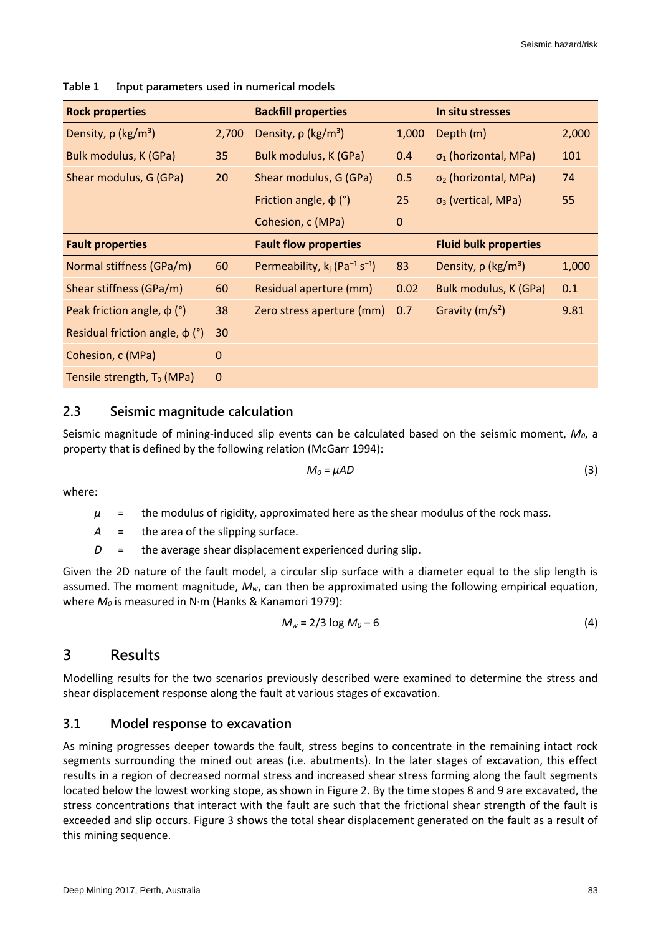| <b>Rock properties</b>               |                  | <b>Backfill properties</b>                              |             | In situ stresses                     |       |
|--------------------------------------|------------------|---------------------------------------------------------|-------------|--------------------------------------|-------|
| Density, $\rho$ (kg/m <sup>3</sup> ) | 2,700            | Density, $\rho$ (kg/m <sup>3</sup> )                    | 1,000       | Depth (m)                            | 2,000 |
| Bulk modulus, K (GPa)                | 35               | Bulk modulus, K (GPa)                                   | 0.4         | $\sigma_1$ (horizontal, MPa)         | 101   |
| Shear modulus, G (GPa)               | 20               | Shear modulus, G (GPa)                                  | 0.5         | $\sigma_2$ (horizontal, MPa)         | 74    |
|                                      |                  | Friction angle, $\phi$ (°)                              | 25          | $\sigma_3$ (vertical, MPa)           | 55    |
|                                      |                  | Cohesion, c (MPa)                                       | $\mathbf 0$ |                                      |       |
| <b>Fault properties</b>              |                  | <b>Fault flow properties</b>                            |             | <b>Fluid bulk properties</b>         |       |
| Normal stiffness (GPa/m)             | 60               | Permeability, $k_i$ (Pa <sup>-1</sup> s <sup>-1</sup> ) | 83          | Density, $\rho$ (kg/m <sup>3</sup> ) | 1,000 |
| Shear stiffness (GPa/m)              | 60               | Residual aperture (mm)                                  | 0.02        | Bulk modulus, K (GPa)                | 0.1   |
| Peak friction angle, $\phi$ (°)      | 38               | Zero stress aperture (mm)                               | 0.7         | Gravity $(m/s^2)$                    | 9.81  |
| Residual friction angle, $\phi$ (°)  | 30               |                                                         |             |                                      |       |
| Cohesion, c (MPa)                    | $\boldsymbol{0}$ |                                                         |             |                                      |       |
| Tensile strength, $T_0$ (MPa)        | $\boldsymbol{0}$ |                                                         |             |                                      |       |

**Table 1 Input parameters used in numerical models**

#### **2.3 Seismic magnitude calculation**

Seismic magnitude of mining-induced slip events can be calculated based on the seismic moment, *M0*, a property that is defined by the following relation (McGarr 1994):

$$
M_0 = \mu AD \tag{3}
$$

where:

- $\mu$  = the modulus of rigidity, approximated here as the shear modulus of the rock mass.
- *A* = the area of the slipping surface.
- *D* = the average shear displacement experienced during slip.

Given the 2D nature of the fault model, a circular slip surface with a diameter equal to the slip length is assumed. The moment magnitude, *Mw*, can then be approximated using the following empirical equation, where *M<sup>0</sup>* is measured in N·m (Hanks & Kanamori 1979):

$$
M_w = 2/3 \log M_0 - 6 \tag{4}
$$

### **3 Results**

Modelling results for the two scenarios previously described were examined to determine the stress and shear displacement response along the fault at various stages of excavation.

#### **3.1 Model response to excavation**

As mining progresses deeper towards the fault, stress begins to concentrate in the remaining intact rock segments surrounding the mined out areas (i.e. abutments). In the later stages of excavation, this effect results in a region of decreased normal stress and increased shear stress forming along the fault segments located below the lowest working stope, as shown in Figure 2. By the time stopes 8 and 9 are excavated, the stress concentrations that interact with the fault are such that the frictional shear strength of the fault is exceeded and slip occurs. Figure 3 shows the total shear displacement generated on the fault as a result of this mining sequence.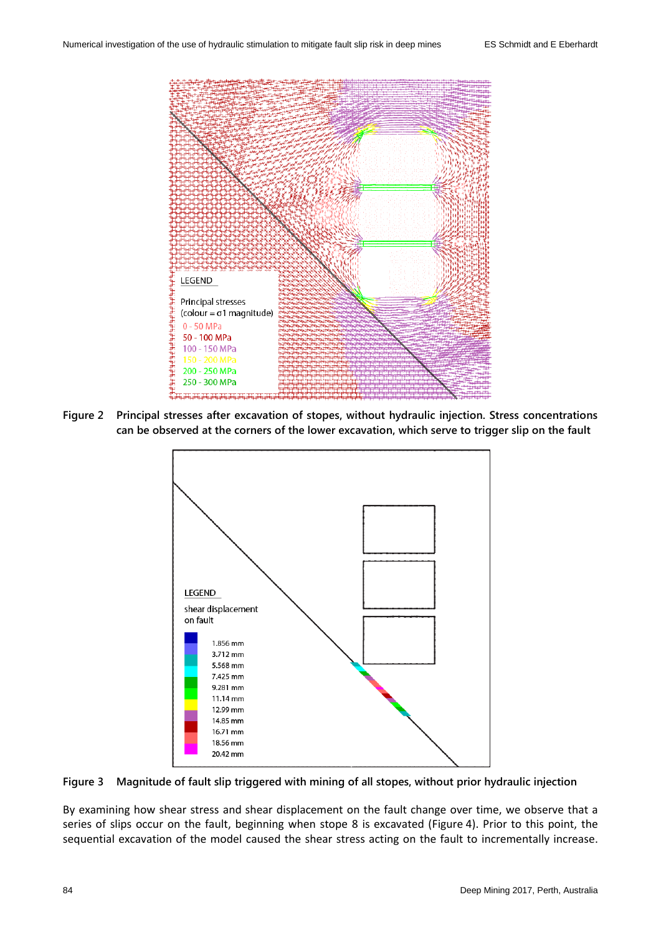

**Figure 2 Principal stresses after excavation of stopes, without hydraulic injection. Stress concentrations can be observed at the corners of the lower excavation, which serve to trigger slip on the fault**



**Figure 3 Magnitude of fault slip triggered with mining of all stopes, without prior hydraulic injection**

By examining how shear stress and shear displacement on the fault change over time, we observe that a series of slips occur on the fault, beginning when stope 8 is excavated (Figure 4). Prior to this point, the sequential excavation of the model caused the shear stress acting on the fault to incrementally increase.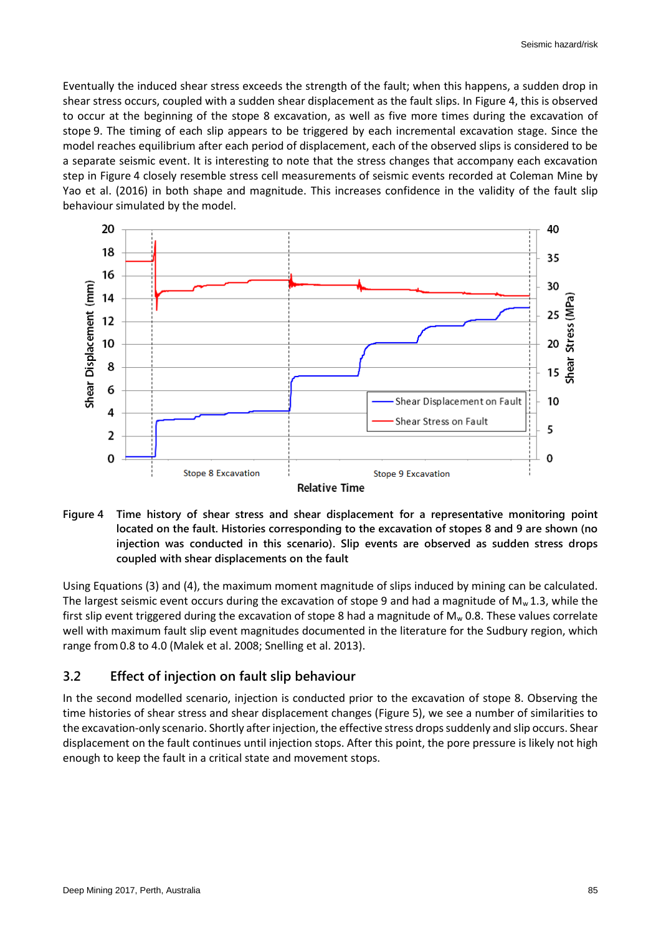Eventually the induced shear stress exceeds the strength of the fault; when this happens, a sudden drop in shear stress occurs, coupled with a sudden shear displacement as the fault slips. In Figure 4, this is observed to occur at the beginning of the stope 8 excavation, as well as five more times during the excavation of stope 9. The timing of each slip appears to be triggered by each incremental excavation stage. Since the model reaches equilibrium after each period of displacement, each of the observed slips is considered to be a separate seismic event. It is interesting to note that the stress changes that accompany each excavation step in Figure 4 closely resemble stress cell measurements of seismic events recorded at Coleman Mine by Yao et al. (2016) in both shape and magnitude. This increases confidence in the validity of the fault slip behaviour simulated by the model.



**Figure 4 Time history of shear stress and shear displacement for a representative monitoring point located on the fault. Histories corresponding to the excavation of stopes 8 and 9 are shown (no injection was conducted in this scenario). Slip events are observed as sudden stress drops coupled with shear displacements on the fault**

Using Equations (3) and (4), the maximum moment magnitude of slips induced by mining can be calculated. The largest seismic event occurs during the excavation of stope 9 and had a magnitude of  $M_w 1.3$ , while the first slip event triggered during the excavation of stope 8 had a magnitude of  $M_w$  0.8. These values correlate well with maximum fault slip event magnitudes documented in the literature for the Sudbury region, which range from0.8 to 4.0 (Malek et al. 2008; Snelling et al. 2013).

#### **3.2 Effect of injection on fault slip behaviour**

In the second modelled scenario, injection is conducted prior to the excavation of stope 8. Observing the time histories of shear stress and shear displacement changes (Figure 5), we see a number of similarities to the excavation-only scenario. Shortly after injection, the effective stress drops suddenly and slip occurs. Shear displacement on the fault continues until injection stops. After this point, the pore pressure is likely not high enough to keep the fault in a critical state and movement stops.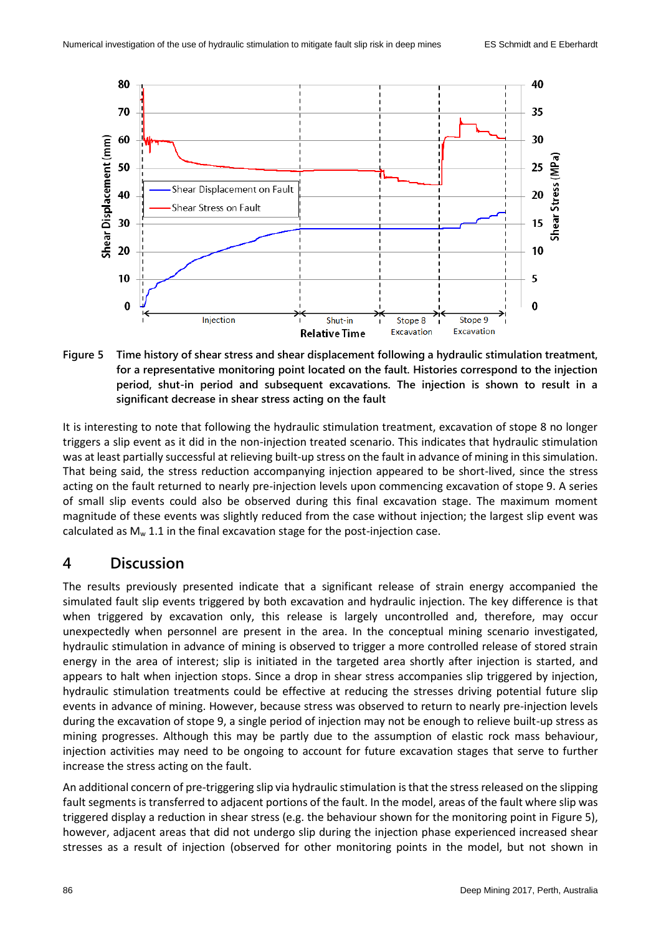

**Figure 5 Time history of shear stress and shear displacement following a hydraulic stimulation treatment, for a representative monitoring point located on the fault. Histories correspond to the injection period, shut-in period and subsequent excavations. The injection is shown to result in a significant decrease in shear stress acting on the fault**

It is interesting to note that following the hydraulic stimulation treatment, excavation of stope 8 no longer triggers a slip event as it did in the non-injection treated scenario. This indicates that hydraulic stimulation was at least partially successful at relieving built-up stress on the fault in advance of mining in this simulation. That being said, the stress reduction accompanying injection appeared to be short-lived, since the stress acting on the fault returned to nearly pre-injection levels upon commencing excavation of stope 9. A series of small slip events could also be observed during this final excavation stage. The maximum moment magnitude of these events was slightly reduced from the case without injection; the largest slip event was calculated as  $M_w$  1.1 in the final excavation stage for the post-injection case.

#### **4 Discussion**

The results previously presented indicate that a significant release of strain energy accompanied the simulated fault slip events triggered by both excavation and hydraulic injection. The key difference is that when triggered by excavation only, this release is largely uncontrolled and, therefore, may occur unexpectedly when personnel are present in the area. In the conceptual mining scenario investigated, hydraulic stimulation in advance of mining is observed to trigger a more controlled release of stored strain energy in the area of interest; slip is initiated in the targeted area shortly after injection is started, and appears to halt when injection stops. Since a drop in shear stress accompanies slip triggered by injection, hydraulic stimulation treatments could be effective at reducing the stresses driving potential future slip events in advance of mining. However, because stress was observed to return to nearly pre-injection levels during the excavation of stope 9, a single period of injection may not be enough to relieve built-up stress as mining progresses. Although this may be partly due to the assumption of elastic rock mass behaviour, injection activities may need to be ongoing to account for future excavation stages that serve to further increase the stress acting on the fault.

An additional concern of pre-triggering slip via hydraulic stimulation is that the stress released on the slipping fault segments is transferred to adjacent portions of the fault. In the model, areas of the fault where slip was triggered display a reduction in shear stress (e.g. the behaviour shown for the monitoring point in Figure 5), however, adjacent areas that did not undergo slip during the injection phase experienced increased shear stresses as a result of injection (observed for other monitoring points in the model, but not shown in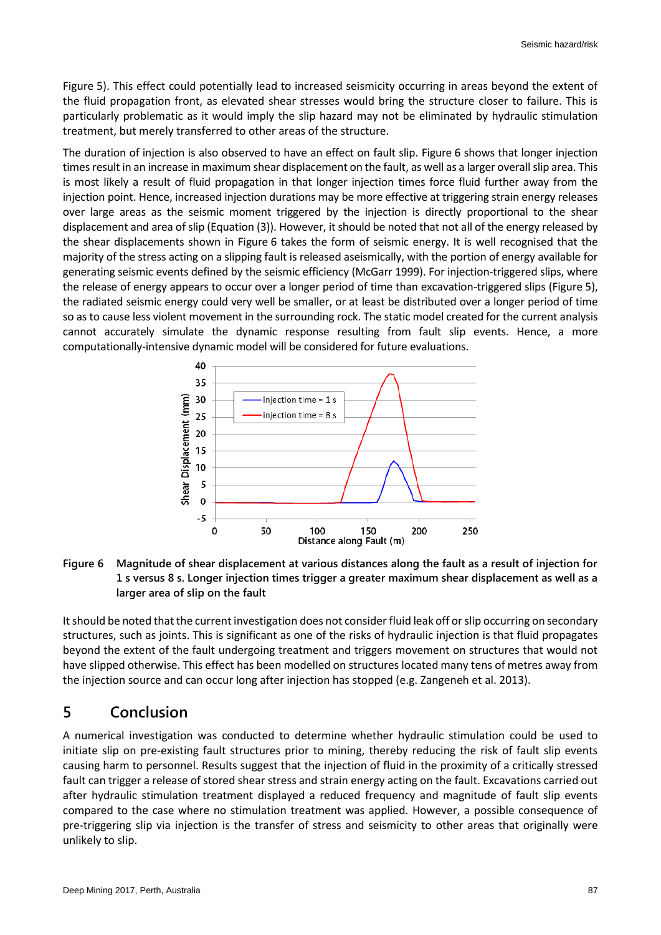Figure 5). This effect could potentially lead to increased seismicity occurring in areas beyond the extent of the fluid propagation front, as elevated shear stresses would bring the structure closer to failure. This is particularly problematic as it would imply the slip hazard may not be eliminated by hydraulic stimulation treatment, but merely transferred to other areas of the structure.

The duration of injection is also observed to have an effect on fault slip. Figure 6 shows that longer injection times result in an increase in maximum shear displacement on the fault, as well as a larger overall slip area. This is most likely a result of fluid propagation in that longer injection times force fluid further away from the injection point. Hence, increased injection durations may be more effective at triggering strain energy releases over large areas as the seismic moment triggered by the injection is directly proportional to the shear displacement and area of slip (Equation (3)). However, it should be noted that not all of the energy released by the shear displacements shown in Figure 6 takes the form of seismic energy. It is well recognised that the majority of the stress acting on a slipping fault is released aseismically, with the portion of energy available for generating seismic events defined by the seismic efficiency (McGarr 1999). For injection-triggered slips, where the release of energy appears to occur over a longer period of time than excavation-triggered slips (Figure 5), the radiated seismic energy could very well be smaller, or at least be distributed over a longer period of time so as to cause less violent movement in the surrounding rock. The static model created for the current analysis cannot accurately simulate the dynamic response resulting from fault slip events. Hence, a more computationally-intensive dynamic model will be considered for future evaluations.



#### **Figure 6 Magnitude of shear displacement at various distances along the fault as a result of injection for 1 s versus 8 s. Longer injection times trigger a greater maximum shear displacement as well as a larger area of slip on the fault**

It should be noted that the current investigation does not consider fluid leak off or slip occurring on secondary structures, such as joints. This is significant as one of the risks of hydraulic injection is that fluid propagates beyond the extent of the fault undergoing treatment and triggers movement on structures that would not have slipped otherwise. This effect has been modelled on structures located many tens of metres away from the injection source and can occur long after injection has stopped (e.g. Zangeneh et al. 2013).

# **5 Conclusion**

A numerical investigation was conducted to determine whether hydraulic stimulation could be used to initiate slip on pre-existing fault structures prior to mining, thereby reducing the risk of fault slip events causing harm to personnel. Results suggest that the injection of fluid in the proximity of a critically stressed fault can trigger a release of stored shear stress and strain energy acting on the fault. Excavations carried out after hydraulic stimulation treatment displayed a reduced frequency and magnitude of fault slip events compared to the case where no stimulation treatment was applied. However, a possible consequence of pre-triggering slip via injection is the transfer of stress and seismicity to other areas that originally were unlikely to slip.